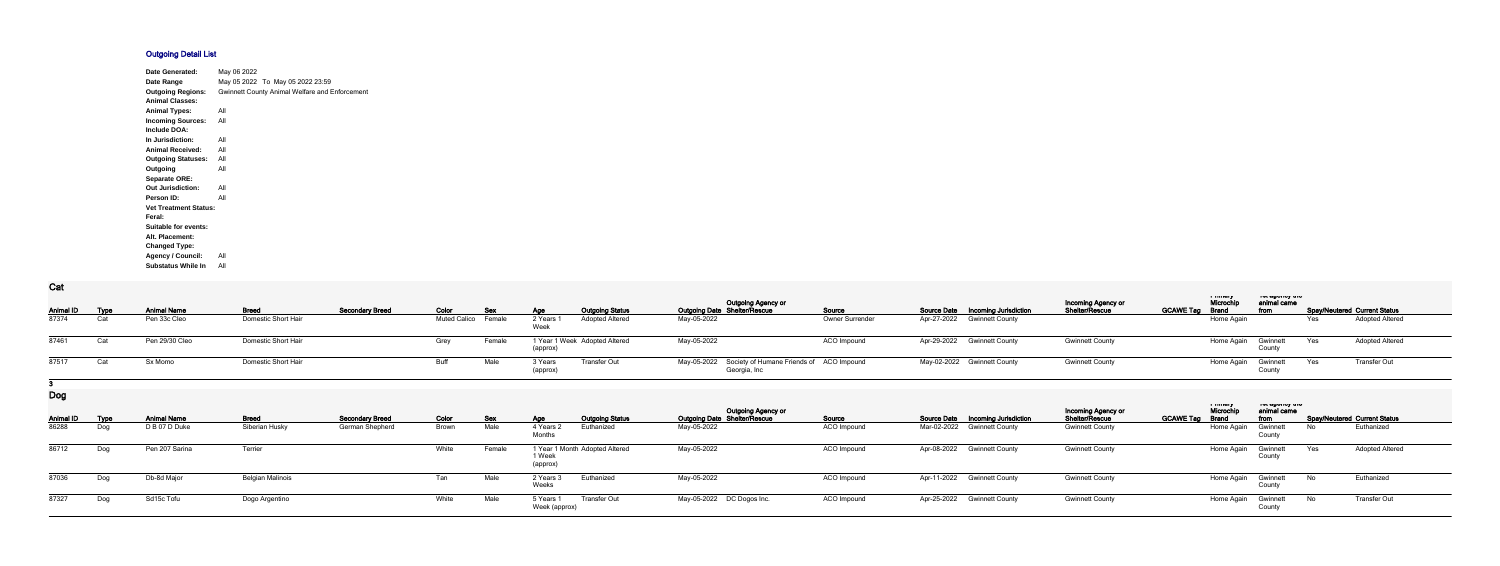## **Outgoing Detail List**

| <b>Date Generated:</b>       | May 06 2022 |                                                       |
|------------------------------|-------------|-------------------------------------------------------|
| Date Range                   |             | May 05 2022 To May 05 2022 23:59                      |
| <b>Outgoing Regions:</b>     |             | <b>Gwinnett County Animal Welfare and Enforcement</b> |
| <b>Animal Classes:</b>       |             |                                                       |
| <b>Animal Types:</b>         | All         |                                                       |
| <b>Incoming Sources:</b>     | All         |                                                       |
| <b>Include DOA:</b>          |             |                                                       |
| In Jurisdiction:             | All         |                                                       |
| <b>Animal Received:</b>      | All         |                                                       |
| <b>Outgoing Statuses:</b>    | All         |                                                       |
| Outgoing                     | All         |                                                       |
| <b>Separate ORE:</b>         |             |                                                       |
| <b>Out Jurisdiction:</b>     | All         |                                                       |
| Person ID:                   | All         |                                                       |
| <b>Vet Treatment Status:</b> |             |                                                       |
| Feral:                       |             |                                                       |
| <b>Suitable for events:</b>  |             |                                                       |
| Alt. Placement:              |             |                                                       |
| <b>Changed Type:</b>         |             |                                                       |
| <b>Agency / Council:</b>     | All         |                                                       |
| <b>Substatus While In</b>    | All         |                                                       |

**Cat**

| $\sim$ ut        |      |                    |                     |                        |                     |            |                    |                               |                                                                      |                        |                                    |                                                    |                  |                                     |                                            |     |                                     |  |
|------------------|------|--------------------|---------------------|------------------------|---------------------|------------|--------------------|-------------------------------|----------------------------------------------------------------------|------------------------|------------------------------------|----------------------------------------------------|------------------|-------------------------------------|--------------------------------------------|-----|-------------------------------------|--|
| <b>Animal ID</b> | Type | <b>Animal Name</b> | <b>Breed</b>        | <b>Secondary Breed</b> | Color               | <b>Sex</b> | Age                | <b>Outgoing Status</b>        | <b>Outgoing Agency or</b><br><b>Outgoing Date Shelter/Rescue</b>     | Source                 | Source Date  Incoming Jurisdiction | <b>Incoming Agency or</b><br><b>Shelter/Rescue</b> | <b>GCAWE Tag</b> | a music<br>Microch,<br><b>Brand</b> | ו סג טאַ וויט איז ט<br>animal came<br>from |     | <b>Spay/Neutered Current Status</b> |  |
| 87374            |      | Pen 33c Cleo       | Domestic Short Hair |                        | Muted Calico Female |            | 2 Years<br>Week    | <b>Adopted Altered</b>        | May-05-2022                                                          | <b>Owner Surrender</b> | Apr-27-2022 Gwinnett County        |                                                    |                  | Home Again                          |                                            | Yes | <b>Adopted Altered</b>              |  |
| 87461            | Cat  | Pen 29/30 Cleo     | Domestic Short Hair |                        | Grey                | Female     |                    | 1 Year 1 Week Adopted Altered | May-05-2022                                                          | ACO Impound            | Apr-29-2022 Gwinnett County        | <b>Gwinnett County</b>                             |                  | Home Again                          | Gwinnett                                   | Yes | <b>Adopted Altered</b>              |  |
| 87517            |      | Sx Momo            | Domestic Short Hair |                        | Buff                | Male       | 3 Years<br>(approx | Transfer Out                  | May-05-2022 Society of Humane Friends of ACO Impound<br>Georgia, Inc |                        | May-02-2022 Gwinnett County        | <b>Gwinnett County</b>                             |                  | Home Again                          | Gwinnett                                   | Yes | <b>Transfer Out</b>                 |  |
|                  |      |                    |                     |                        |                     |            |                    |                               |                                                                      |                        |                                    |                                                    |                  |                                     |                                            |     |                                     |  |

**Dog**

| <b>Animal ID</b> | <u>Type</u> | <b>Animal Name</b> | <b>Breed</b>            | <b>Secondary Breed</b> | Color        | Sex    | <b>Outgoing Status</b><br>Age                        | <b>Outgoing Agency or</b><br><b>Outgoing Date Shelter/Rescue</b> | <u>Source</u>      | <b>Source Date Incoming Jurisdiction</b> | <b>Incoming Agency or</b><br>Shelter/Rescue | ாபபனர<br>Microchi<br><b>GCAWE Tag</b><br>Brand | ו טג טשטוועץ גווע<br>animal came<br>from |      | <b>Spay/Neutered Current Status</b> |
|------------------|-------------|--------------------|-------------------------|------------------------|--------------|--------|------------------------------------------------------|------------------------------------------------------------------|--------------------|------------------------------------------|---------------------------------------------|------------------------------------------------|------------------------------------------|------|-------------------------------------|
| 86288            | Dog         | D B 07 D Duke      | Siberian Husky          | German Shepherd        | <b>Brown</b> | Male   | 4 Years<br>Euthanized<br>Months                      | May-05-2022                                                      | <b>ACO Impound</b> | Mar-02-2022 Gwinnett County              | <b>Gwinnett County</b>                      | Home Again                                     | Gwinnett<br>County                       | No.  | Euthanized                          |
| 86712            | Dog         | Pen 207 Sarina     | Terrier                 |                        | White        | Female | 1 Year 1 Month Adopted Altered<br>1 Week<br>(approx) | May-05-2022                                                      | ACO Impound        | Apr-08-2022 Gwinnett County              | <b>Gwinnett County</b>                      | Home Again                                     | Gwinnett<br>County                       | Yes  | <b>Adopted Altered</b>              |
| 87036            | Dog         | Db-8d Major        | <b>Belgian Malinois</b> |                        | Tan          | Male   | 2 Years<br>Euthanized<br>Weeks                       | May-05-2022                                                      | ACO Impound        | Apr-11-2022 Gwinnett County              | <b>Gwinnett County</b>                      | Home Again                                     | Gwinnett<br>County                       | - No | Euthanized                          |
| 87327            | Dog         | Sd15c Tofu         | Dogo Argentino          |                        | White        | Male   | 5 Years<br>Transfer Out<br>Week (approx)             | May-05-2022 DC Dogos Inc.                                        | ACO Impound        | Apr-25-2022 Gwinnett County              | <b>Gwinnett County</b>                      | Home Again                                     | Gwinnett<br>County                       | No   | Transfer Out                        |